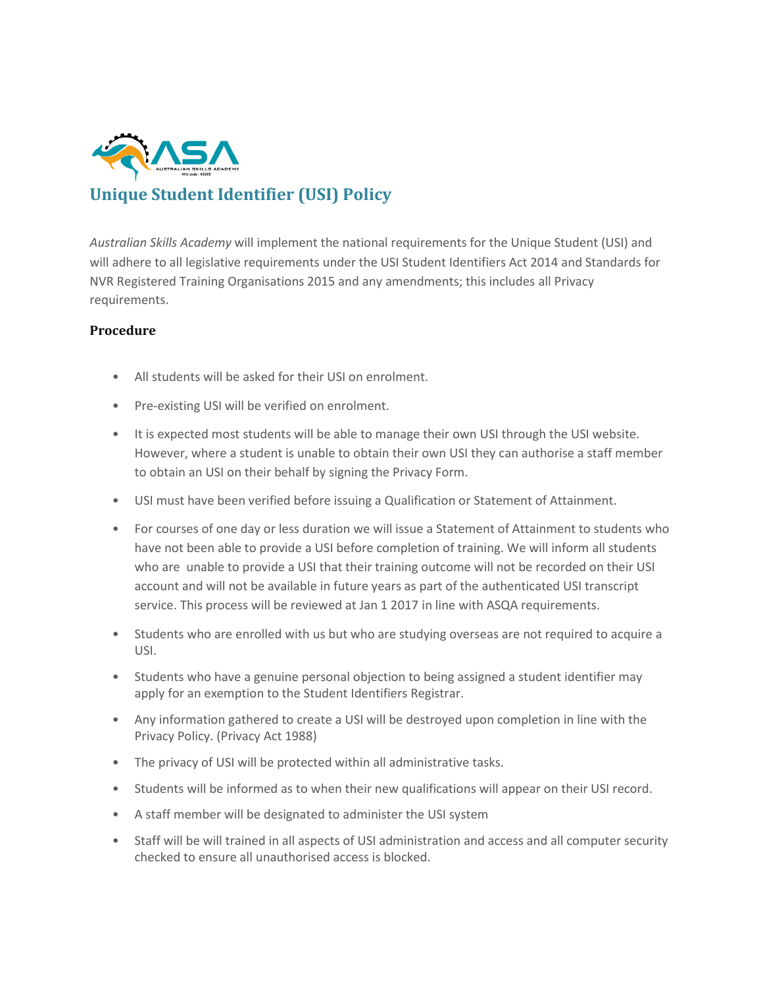

# **Unique Student Identifier (USI) Policy**

*Australian Skills Academy* will implement the national requirements for the Unique Student (USI) and will adhere to all legislative requirements under the USI Student Identifiers Act 2014 and Standards for NVR Registered Training Organisations 2015 and any amendments; this includes all Privacy requirements.

## **Procedure**

- All students will be asked for their USI on enrolment.
- Pre-existing USI will be verified on enrolment.
- It is expected most students will be able to manage their own USI through the USI website. However, where a student is unable to obtain their own USI they can authorise a staff member to obtain an USI on their behalf by signing the Privacy Form.
- USI must have been verified before issuing a Qualification or Statement of Attainment.
- For courses of one day or less duration we will issue a Statement of Attainment to students who have not been able to provide a USI before completion of training. We will inform all students who are unable to provide a USI that their training outcome will not be recorded on their USI account and will not be available in future years as part of the authenticated USI transcript service. This process will be reviewed at Jan 1 2017 in line with ASQA requirements.
- Students who are enrolled with us but who are studying overseas are not required to acquire a USI.
- Students who have a genuine personal objection to being assigned a student identifier may apply for an exemption to the Student Identifiers Registrar.
- Any information gathered to create a USI will be destroyed upon completion in line with the Privacy Policy. (Privacy Act 1988)
- The privacy of USI will be protected within all administrative tasks.
- Students will be informed as to when their new qualifications will appear on their USI record.
- A staff member will be designated to administer the USI system
- Staff will be will trained in all aspects of USI administration and access and all computer security checked to ensure all unauthorised access is blocked.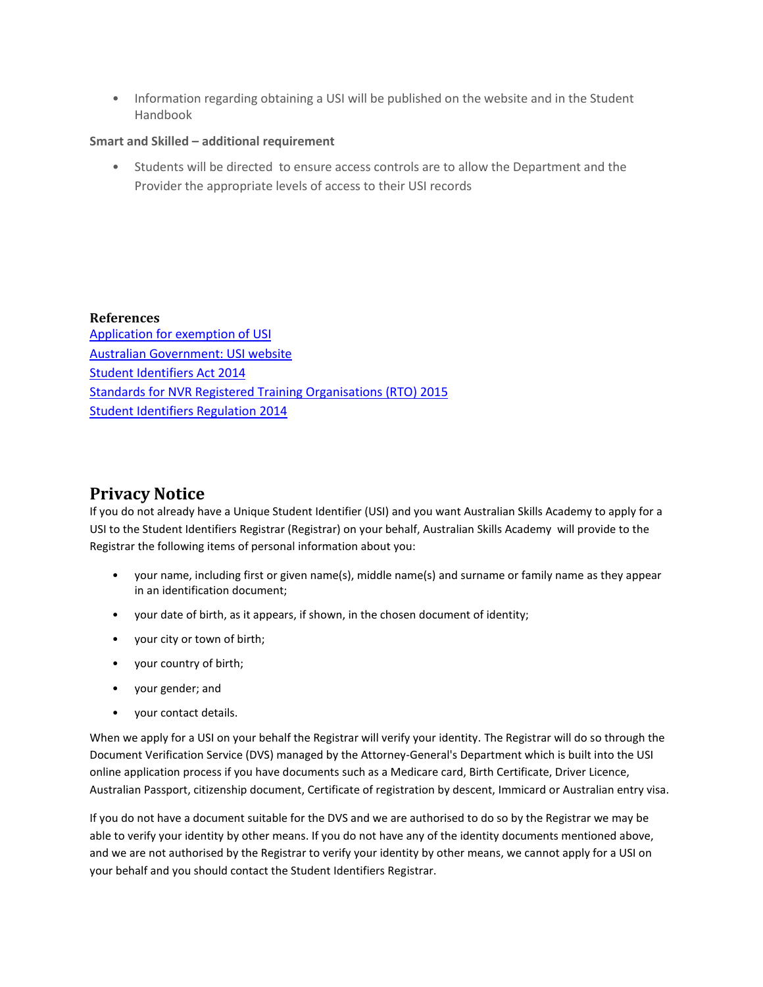• Information regarding obtaining a USI will be published on the website and in the Student Handbook

### **Smart and Skilled – additional requirement**

• Students will be directed to ensure access controls are to allow the Department and the Provider the appropriate levels of access to their USI records

**References** [Application for exemption of USI](https://www.usi.gov.au/training-organisations/training-organisation-requirements/exemptions-individuals/how-apply) [Australian Government: USI website](https://www.usi.gov.au/training-organisations) [Student Identifiers Act 2014](https://www.comlaw.gov.au/Details/C2014A00036) [Standards for NVR Registered Training Organisations \(RTO\) 2015](http://www.asqa.gov.au/about/national-vet-regulation/standards-for-nvr-registered-training-organisations.html)  [Student Identifiers Regulation 2014](https://www.comlaw.gov.au/Details/F2014L01204)

# **Privacy Notice**

If you do not already have a Unique Student Identifier (USI) and you want Australian Skills Academy to apply for a USI to the Student Identifiers Registrar (Registrar) on your behalf, Australian Skills Academy will provide to the Registrar the following items of personal information about you:

- your name, including first or given name(s), middle name(s) and surname or family name as they appear in an identification document;
- your date of birth, as it appears, if shown, in the chosen document of identity;
- your city or town of birth;
- your country of birth;
- your gender; and
- your contact details.

When we apply for a USI on your behalf the Registrar will verify your identity. The Registrar will do so through the Document Verification Service (DVS) managed by the Attorney-General's Department which is built into the USI online application process if you have documents such as a Medicare card, Birth Certificate, Driver Licence, Australian Passport, citizenship document, Certificate of registration by descent, Immicard or Australian entry visa.

If you do not have a document suitable for the DVS and we are authorised to do so by the Registrar we may be able to verify your identity by other means. If you do not have any of the identity documents mentioned above, and we are not authorised by the Registrar to verify your identity by other means, we cannot apply for a USI on your behalf and you should contact the Student Identifiers Registrar.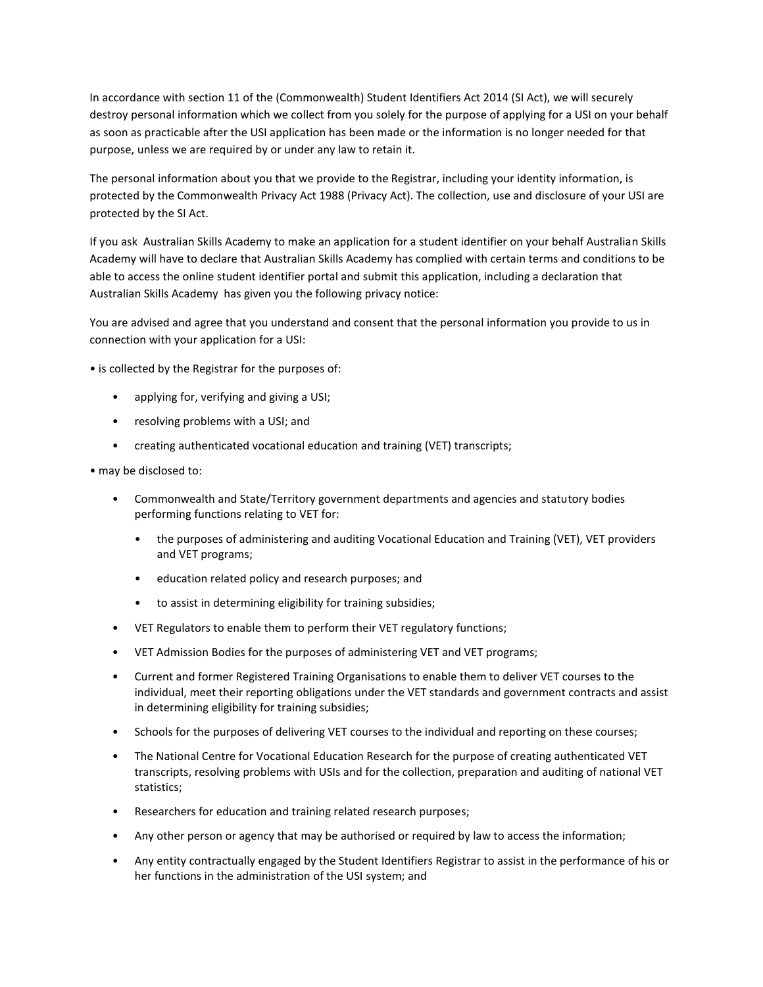In accordance with section 11 of the (Commonwealth) Student Identifiers Act 2014 (SI Act), we will securely destroy personal information which we collect from you solely for the purpose of applying for a USI on your behalf as soon as practicable after the USI application has been made or the information is no longer needed for that purpose, unless we are required by or under any law to retain it.

The personal information about you that we provide to the Registrar, including your identity information, is protected by the Commonwealth Privacy Act 1988 (Privacy Act). The collection, use and disclosure of your USI are protected by the SI Act.

If you ask Australian Skills Academy to make an application for a student identifier on your behalf Australian Skills Academy will have to declare that Australian Skills Academy has complied with certain terms and conditions to be able to access the online student identifier portal and submit this application, including a declaration that Australian Skills Academy has given you the following privacy notice:

You are advised and agree that you understand and consent that the personal information you provide to us in connection with your application for a USI:

• is collected by the Registrar for the purposes of:

- applying for, verifying and giving a USI;
- resolving problems with a USI; and
- creating authenticated vocational education and training (VET) transcripts;
- may be disclosed to:
	- Commonwealth and State/Territory government departments and agencies and statutory bodies performing functions relating to VET for:
		- the purposes of administering and auditing Vocational Education and Training (VET), VET providers and VET programs;
		- education related policy and research purposes; and
		- to assist in determining eligibility for training subsidies;
	- VET Regulators to enable them to perform their VET regulatory functions;
	- VET Admission Bodies for the purposes of administering VET and VET programs;
	- Current and former Registered Training Organisations to enable them to deliver VET courses to the individual, meet their reporting obligations under the VET standards and government contracts and assist in determining eligibility for training subsidies;
	- Schools for the purposes of delivering VET courses to the individual and reporting on these courses;
	- The National Centre for Vocational Education Research for the purpose of creating authenticated VET transcripts, resolving problems with USIs and for the collection, preparation and auditing of national VET statistics;
	- Researchers for education and training related research purposes;
	- Any other person or agency that may be authorised or required by law to access the information;
	- Any entity contractually engaged by the Student Identifiers Registrar to assist in the performance of his or her functions in the administration of the USI system; and